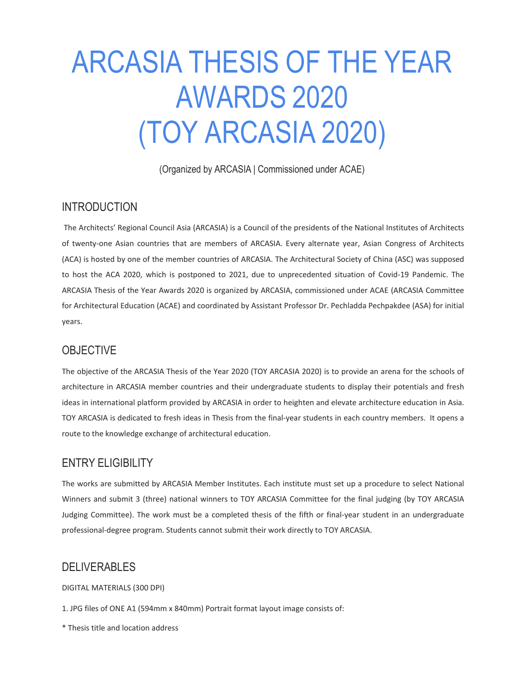# ARCASIA THESIS OF THE YEAR AWARDS 2020 (TOY ARCASIA 2020)

(Organized by ARCASIA | Commissioned under ACAE)

#### INTRODUCTION

The Architects' Regional Council Asia (ARCASIA) is a Council of the presidents of the National Institutes of Architects of twenty-one Asian countries that are members of ARCASIA. Every alternate year, Asian Congress of Architects (ACA) is hosted by one of the member countries of ARCASIA. The Architectural Society of China (ASC) was supposed to host the ACA 2020, which is postponed to 2021, due to unprecedented situation of Covid-19 Pandemic. The ARCASIA Thesis of the Year Awards 2020 is organized by ARCASIA, commissioned under ACAE (ARCASIA Committee for Architectural Education (ACAE) and coordinated by Assistant Professor Dr. Pechladda Pechpakdee (ASA) for initial years.

## **OBJECTIVE**

The objective of the ARCASIA Thesis of the Year 2020 (TOY ARCASIA 2020) is to provide an arena for the schools of architecture in ARCASIA member countries and their undergraduate students to display their potentials and fresh ideas in international platform provided by ARCASIA in order to heighten and elevate architecture education in Asia. TOY ARCASIA is dedicated to fresh ideas in Thesis from the final-year students in each country members. It opens a route to the knowledge exchange of architectural education.

## ENTRY ELIGIBILITY

The works are submitted by ARCASIA Member Institutes. Each institute must set up a procedure to select National Winners and submit 3 (three) national winners to TOY ARCASIA Committee for the final judging (by TOY ARCASIA Judging Committee). The work must be a completed thesis of the fifth or final-year student in an undergraduate professional-degree program. Students cannot submit their work directly to TOY ARCASIA.

# DELIVERABLES

DIGITAL MATERIALS (300 DPI)

1. JPG files of ONE A1 (594mm x 840mm) Portrait format layout image consists of:

\* Thesis title and location address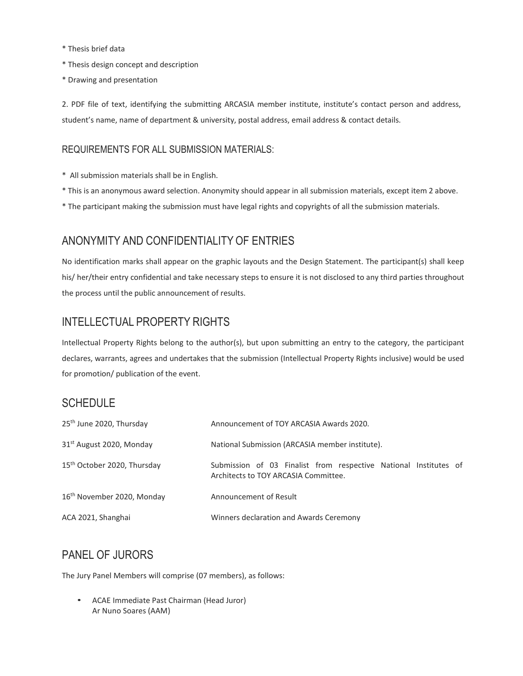- \* Thesis brief data
- \* Thesis design concept and description
- \* Drawing and presentation

2. PDF file of text, identifying the submitting ARCASIA member institute, institute's contact person and address, student's name, name of department & university, postal address, email address & contact details.

#### REQUIREMENTS FOR ALL SUBMISSION MATERIALS:

- \* All submission materials shall be in English.
- \* This is an anonymous award selection. Anonymity should appear in all submission materials, except item 2 above.
- \* The participant making the submission must have legal rights and copyrights of all the submission materials.

# ANONYMITY AND CONFIDENTIALITY OF ENTRIES

No identification marks shall appear on the graphic layouts and the Design Statement. The participant(s) shall keep his/ her/their entry confidential and take necessary steps to ensure it is not disclosed to any third parties throughout the process until the public announcement of results.

# INTELLECTUAL PROPERTY RIGHTS

Intellectual Property Rights belong to the author(s), but upon submitting an entry to the category, the participant declares, warrants, agrees and undertakes that the submission (Intellectual Property Rights inclusive) would be used for promotion/ publication of the event.

## **SCHEDULE**

| 25 <sup>th</sup> June 2020, Thursday    | Announcement of TOY ARCASIA Awards 2020.                                                                 |
|-----------------------------------------|----------------------------------------------------------------------------------------------------------|
| 31 <sup>st</sup> August 2020, Monday    | National Submission (ARCASIA member institute).                                                          |
| 15 <sup>th</sup> October 2020, Thursday | Submission of 03 Finalist from respective National Institutes of<br>Architects to TOY ARCASIA Committee. |
| 16 <sup>th</sup> November 2020, Monday  | Announcement of Result                                                                                   |
| ACA 2021, Shanghai                      | Winners declaration and Awards Ceremony                                                                  |

# PANEL OF JURORS

The Jury Panel Members will comprise (07 members), as follows:

• ACAE Immediate Past Chairman (Head Juror) Ar Nuno Soares (AAM)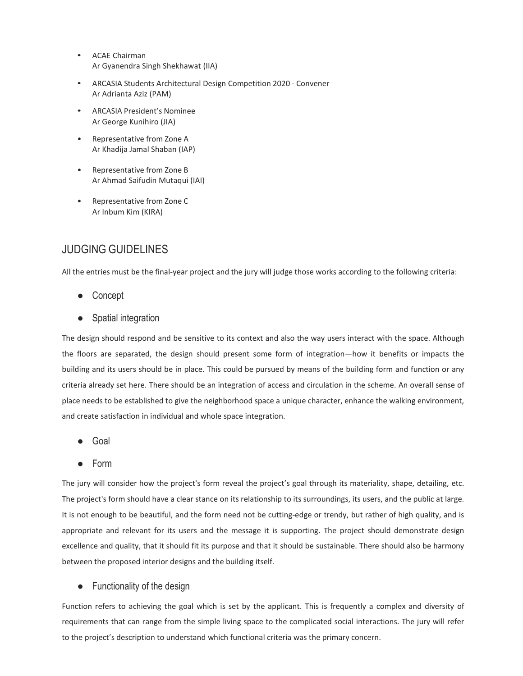- ACAE Chairman Ar Gyanendra Singh Shekhawat (IIA)
- ARCASIA Students Architectural Design Competition 2020 Convener Ar Adrianta Aziz (PAM)
- ARCASIA President's Nominee Ar George Kunihiro (JIA)
- Representative from Zone A Ar Khadija Jamal Shaban (IAP)
- Representative from Zone B Ar Ahmad Saifudin Mutaqui (IAI)
- Representative from Zone C Ar Inbum Kim (KIRA)

## JUDGING GUIDELINES

All the entries must be the final-year project and the jury will judge those works according to the following criteria:

- Concept
- Spatial integration

The design should respond and be sensitive to its context and also the way users interact with the space. Although the floors are separated, the design should present some form of integration—how it benefits or impacts the building and its users should be in place. This could be pursued by means of the building form and function or any criteria already set here. There should be an integration of access and circulation in the scheme. An overall sense of place needs to be established to give the neighborhood space a unique character, enhance the walking environment, and create satisfaction in individual and whole space integration.

- Goal
- Form

The jury will consider how the project's form reveal the project's goal through its materiality, shape, detailing, etc. The project's form should have a clear stance on its relationship to its surroundings, its users, and the public at large. It is not enough to be beautiful, and the form need not be cutting-edge or trendy, but rather of high quality, and is appropriate and relevant for its users and the message it is supporting. The project should demonstrate design excellence and quality, that it should fit its purpose and that it should be sustainable. There should also be harmony between the proposed interior designs and the building itself.

#### ● Functionality of the design

Function refers to achieving the goal which is set by the applicant. This is frequently a complex and diversity of requirements that can range from the simple living space to the complicated social interactions. The jury will refer to the project's description to understand which functional criteria was the primary concern.